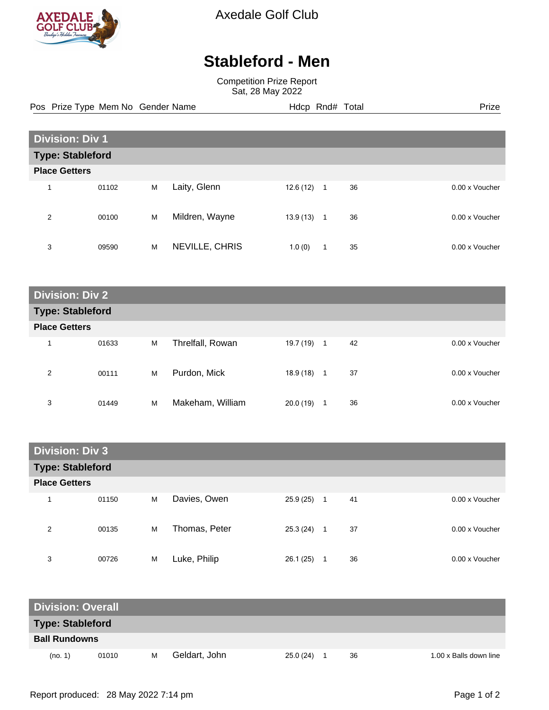

Axedale Golf Club

## **Stableford - Men**

Competition Prize Report Sat, 28 May 2022

Pos Prize Type Mem No Gender Name **Hdcp Rnd# Total** Prize Prize

| <b>Division: Div 1</b> |                         |   |                |           |             |    |                |  |
|------------------------|-------------------------|---|----------------|-----------|-------------|----|----------------|--|
|                        | <b>Type: Stableford</b> |   |                |           |             |    |                |  |
| <b>Place Getters</b>   |                         |   |                |           |             |    |                |  |
| 4                      | 01102                   | M | Laity, Glenn   | 12.6 (12) | 1           | 36 | 0.00 x Voucher |  |
| 2                      | 00100                   | M | Mildren, Wayne | 13.9 (13) | $\mathbf 1$ | 36 | 0.00 x Voucher |  |
| 3                      | 09590                   | M | NEVILLE, CHRIS | 1.0(0)    | 1           | 35 | 0.00 x Voucher |  |

| <b>Division: Div 2</b>  |       |   |                  |           |         |                |  |
|-------------------------|-------|---|------------------|-----------|---------|----------------|--|
| <b>Type: Stableford</b> |       |   |                  |           |         |                |  |
| <b>Place Getters</b>    |       |   |                  |           |         |                |  |
| 1                       | 01633 | M | Threlfall, Rowan | 19.7 (19) | 42<br>1 | 0.00 x Voucher |  |
| 2                       | 00111 | M | Purdon, Mick     | 18.9 (18) | 37<br>1 | 0.00 x Voucher |  |
| 3                       | 01449 | M | Makeham, William | 20.0(19)  | 36<br>1 | 0.00 x Voucher |  |

| <b>Division: Div 3</b>  |       |   |               |           |                      |                |  |
|-------------------------|-------|---|---------------|-----------|----------------------|----------------|--|
| <b>Type: Stableford</b> |       |   |               |           |                      |                |  |
| <b>Place Getters</b>    |       |   |               |           |                      |                |  |
| 1                       | 01150 | M | Davies, Owen  | 25.9 (25) | 41<br>$\overline{1}$ | 0.00 x Voucher |  |
| 2                       | 00135 | M | Thomas, Peter | 25.3 (24) | 37<br>1              | 0.00 x Voucher |  |
| 3                       | 00726 | M | Luke, Philip  | 26.1(25)  | 36                   | 0.00 x Voucher |  |

| <b>Division: Overall</b> |       |   |               |          |  |    |                        |
|--------------------------|-------|---|---------------|----------|--|----|------------------------|
| <b>Type: Stableford</b>  |       |   |               |          |  |    |                        |
| <b>Ball Rundowns</b>     |       |   |               |          |  |    |                        |
| (no. 1)                  | 01010 | м | Geldart, John | 25.0(24) |  | 36 | 1.00 x Balls down line |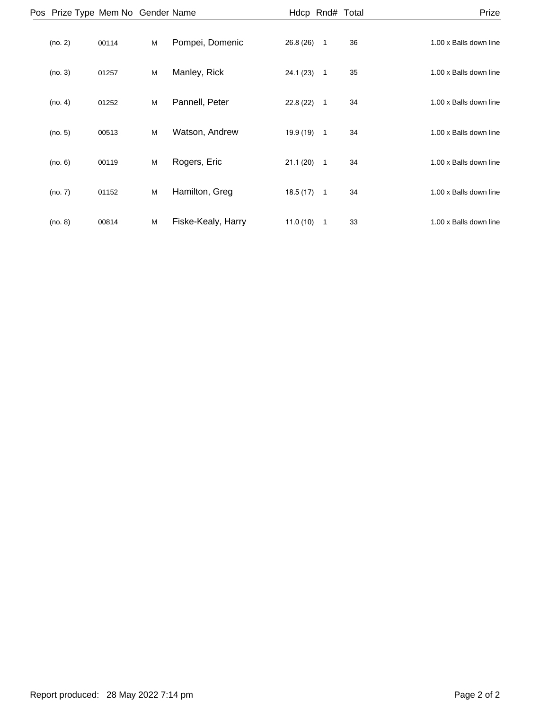| Prize                  |    |                | Hdcp Rnd# Total |                    |   |       | Pos Prize Type Mem No Gender Name |  |
|------------------------|----|----------------|-----------------|--------------------|---|-------|-----------------------------------|--|
| 1.00 x Balls down line | 36 | $\overline{1}$ | 26.8(26)        | Pompei, Domenic    | M | 00114 | (no. 2)                           |  |
| 1.00 x Balls down line | 35 | $\overline{1}$ | 24.1(23)        | Manley, Rick       | M | 01257 | (no. 3)                           |  |
| 1.00 x Balls down line | 34 | $\overline{1}$ | 22.8 (22)       | Pannell, Peter     | M | 01252 | (no. 4)                           |  |
| 1.00 x Balls down line | 34 | $\overline{1}$ | 19.9 (19)       | Watson, Andrew     | M | 00513 | (no. 5)                           |  |
| 1.00 x Balls down line | 34 | $\overline{1}$ | 21.1(20)        | Rogers, Eric       | M | 00119 | (no. 6)                           |  |
| 1.00 x Balls down line | 34 | $\overline{1}$ | 18.5(17)        | Hamilton, Greg     | M | 01152 | (no. 7)                           |  |
| 1.00 x Balls down line | 33 | $\overline{1}$ | 11.0(10)        | Fiske-Kealy, Harry | M | 00814 | (no. 8)                           |  |